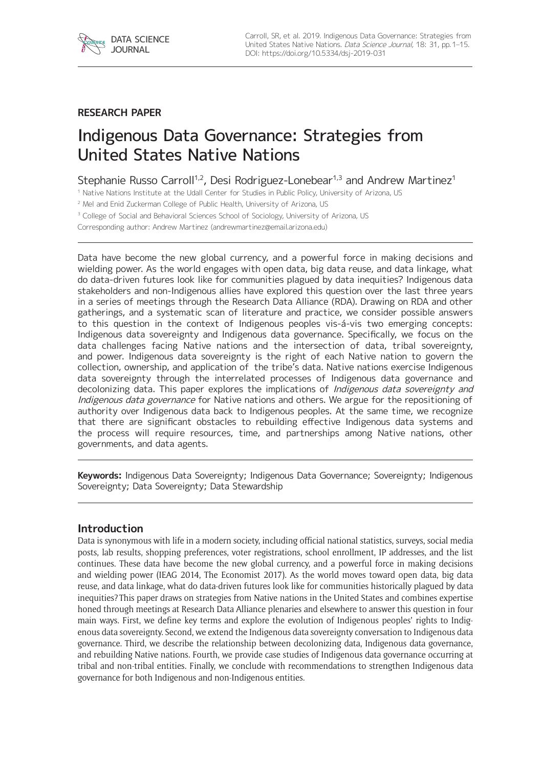

## **RESEARCH PAPER**

# Indigenous Data Governance: Strategies from United States Native Nations

Stephanie Russo Carroll<sup>1,2</sup>, Desi Rodriguez-Lonebear<sup>1,3</sup> and Andrew Martinez<sup>1</sup>

<sup>1</sup> Native Nations Institute at the Udall Center for Studies in Public Policy, University of Arizona, US

<sup>2</sup> Mel and Enid Zuckerman College of Public Health, University of Arizona, US

<sup>3</sup> College of Social and Behavioral Sciences School of Sociology, University of Arizona, US

Corresponding author: Andrew Martinez [\(andrewmartinez@email.arizona.edu](mailto:andrewmartinez@email.arizona.edu))

Data have become the new global currency, and a powerful force in making decisions and wielding power. As the world engages with open data, big data reuse, and data linkage, what do data-driven futures look like for communities plagued by data inequities? Indigenous data stakeholders and non-Indigenous allies have explored this question over the last three years in a series of meetings through the Research Data Alliance (RDA). Drawing on RDA and other gatherings, and a systematic scan of literature and practice, we consider possible answers to this question in the context of Indigenous peoples vis-á-vis two emerging concepts: Indigenous data sovereignty and Indigenous data governance. Specifically, we focus on the data challenges facing Native nations and the intersection of data, tribal sovereignty, and power. Indigenous data sovereignty is the right of each Native nation to govern the collection, ownership, and application of the tribe's data. Native nations exercise Indigenous data sovereignty through the interrelated processes of Indigenous data governance and decolonizing data. This paper explores the implications of *Indigenous data sovereignty and* Indigenous data governance for Native nations and others. We argue for the repositioning of authority over Indigenous data back to Indigenous peoples. At the same time, we recognize that there are significant obstacles to rebuilding effective Indigenous data systems and the process will require resources, time, and partnerships among Native nations, other governments, and data agents.

**Keywords:** Indigenous Data Sovereignty; Indigenous Data Governance; Sovereignty; Indigenous Sovereignty; Data Sovereignty; Data Stewardship

## **Introduction**

Data is synonymous with life in a modern society, including official national statistics, surveys, social media posts, lab results, shopping preferences, voter registrations, school enrollment, IP addresses, and the list continues. These data have become the new global currency, and a powerful force in making decisions and wielding power (IEAG 2014, The Economist 2017). As the world moves toward open data, big data reuse, and data linkage, what do data-driven futures look like for communities historically plagued by data inequities? This paper draws on strategies from Native nations in the United States and combines expertise honed through meetings at Research Data Alliance plenaries and elsewhere to answer this question in four main ways. First, we define key terms and explore the evolution of Indigenous peoples' rights to Indigenous data sovereignty. Second, we extend the Indigenous data sovereignty conversation to Indigenous data governance. Third, we describe the relationship between decolonizing data, Indigenous data governance, and rebuilding Native nations. Fourth, we provide case studies of Indigenous data governance occurring at tribal and non-tribal entities. Finally, we conclude with recommendations to strengthen Indigenous data governance for both Indigenous and non-Indigenous entities.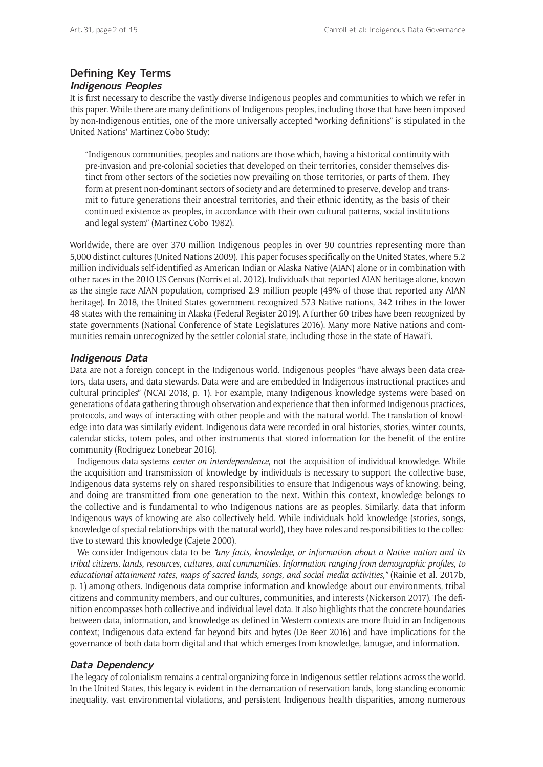## **Defining Key Terms**

## **Indigenous Peoples**

It is first necessary to describe the vastly diverse Indigenous peoples and communities to which we refer in this paper. While there are many definitions of Indigenous peoples, including those that have been imposed by non-Indigenous entities, one of the more universally accepted "working definitions" is stipulated in the United Nations' Martinez Cobo Study:

"Indigenous communities, peoples and nations are those which, having a historical continuity with pre-invasion and pre-colonial societies that developed on their territories, consider themselves distinct from other sectors of the societies now prevailing on those territories, or parts of them. They form at present non-dominant sectors of society and are determined to preserve, develop and transmit to future generations their ancestral territories, and their ethnic identity, as the basis of their continued existence as peoples, in accordance with their own cultural patterns, social institutions and legal system" (Martinez Cobo 1982).

Worldwide, there are over 370 million Indigenous peoples in over 90 countries representing more than 5,000 distinct cultures (United Nations 2009). This paper focuses specifically on the United States, where 5.2 million individuals self-identified as American Indian or Alaska Native (AIAN) alone or in combination with other races in the 2010 US Census (Norris et al. 2012). Individuals that reported AIAN heritage alone, known as the single race AIAN population, comprised 2.9 million people (49% of those that reported any AIAN heritage). In 2018, the United States government recognized 573 Native nations, 342 tribes in the lower 48 states with the remaining in Alaska (Federal Register 2019). A further 60 tribes have been recognized by state governments (National Conference of State Legislatures 2016). Many more Native nations and communities remain unrecognized by the settler colonial state, including those in the state of Hawai'i.

## **Indigenous Data**

Data are not a foreign concept in the Indigenous world. Indigenous peoples "have always been data creators, data users, and data stewards. Data were and are embedded in Indigenous instructional practices and cultural principles" (NCAI 2018, p. 1). For example, many Indigenous knowledge systems were based on generations of data gathering through observation and experience that then informed Indigenous practices, protocols, and ways of interacting with other people and with the natural world. The translation of knowledge into data was similarly evident. Indigenous data were recorded in oral histories, stories, winter counts, calendar sticks, totem poles, and other instruments that stored information for the benefit of the entire community (Rodriguez-Lonebear 2016).

Indigenous data systems *center on interdependence*, not the acquisition of individual knowledge. While the acquisition and transmission of knowledge by individuals is necessary to support the collective base, Indigenous data systems rely on shared responsibilities to ensure that Indigenous ways of knowing, being, and doing are transmitted from one generation to the next. Within this context, knowledge belongs to the collective and is fundamental to who Indigenous nations are as peoples. Similarly, data that inform Indigenous ways of knowing are also collectively held. While individuals hold knowledge (stories, songs, knowledge of special relationships with the natural world), they have roles and responsibilities to the collective to steward this knowledge (Cajete 2000).

We consider Indigenous data to be *"any facts, knowledge, or information about a Native nation and its tribal citizens, lands, resources, cultures, and communities. Information ranging from demographic profiles, to educational attainment rates, maps of sacred lands, songs, and social media activities,"* (Rainie et al. 2017b, p. 1) among others. Indigenous data comprise information and knowledge about our environments, tribal citizens and community members, and our cultures, communities, and interests (Nickerson 2017). The definition encompasses both collective and individual level data. It also highlights that the concrete boundaries between data, information, and knowledge as defined in Western contexts are more fluid in an Indigenous context; Indigenous data extend far beyond bits and bytes (De Beer 2016) and have implications for the governance of both data born digital and that which emerges from knowledge, lanugae, and information.

## **Data Dependency**

The legacy of colonialism remains a central organizing force in Indigenous-settler relations across the world. In the United States, this legacy is evident in the demarcation of reservation lands, long-standing economic inequality, vast environmental violations, and persistent Indigenous health disparities, among numerous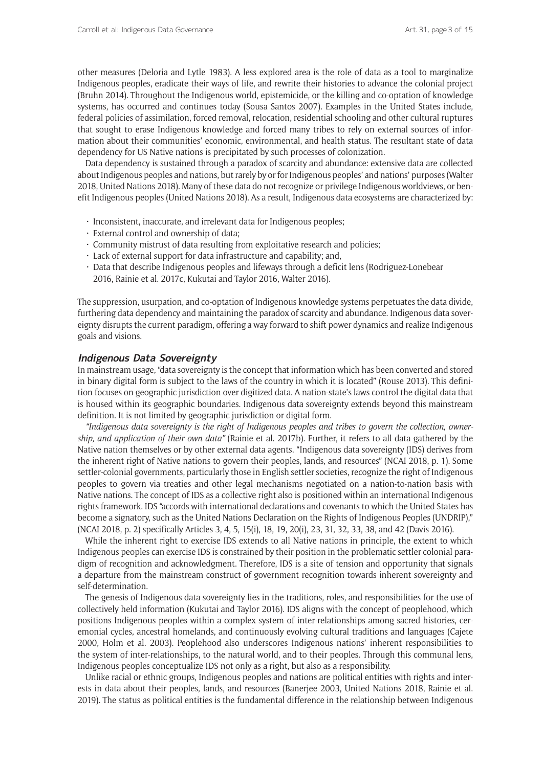other measures (Deloria and Lytle 1983). A less explored area is the role of data as a tool to marginalize Indigenous peoples, eradicate their ways of life, and rewrite their histories to advance the colonial project (Bruhn 2014). Throughout the Indigenous world, epistemicide, or the killing and co-optation of knowledge systems, has occurred and continues today (Sousa Santos 2007). Examples in the United States include, federal policies of assimilation, forced removal, relocation, residential schooling and other cultural ruptures that sought to erase Indigenous knowledge and forced many tribes to rely on external sources of information about their communities' economic, environmental, and health status. The resultant state of data dependency for US Native nations is precipitated by such processes of colonization.

Data dependency is sustained through a paradox of scarcity and abundance: extensive data are collected about Indigenous peoples and nations, but rarely by or for Indigenous peoples' and nations' purposes (Walter 2018, United Nations 2018). Many of these data do not recognize or privilege Indigenous worldviews, or benefit Indigenous peoples (United Nations 2018). As a result, Indigenous data ecosystems are characterized by:

- Inconsistent, inaccurate, and irrelevant data for Indigenous peoples;
- $\cdot$  External control and ownership of data;
- • Community mistrust of data resulting from exploitative research and policies;
- $\cdot$  Lack of external support for data infrastructure and capability; and,
- • Data that describe Indigenous peoples and lifeways through a deficit lens (Rodriguez-Lonebear 2016, Rainie et al. 2017c, Kukutai and Taylor 2016, Walter 2016).

The suppression, usurpation, and co-optation of Indigenous knowledge systems perpetuates the data divide, furthering data dependency and maintaining the paradox of scarcity and abundance. Indigenous data sovereignty disrupts the current paradigm, offering a way forward to shift power dynamics and realize Indigenous goals and visions.

## **Indigenous Data Sovereignty**

In mainstream usage, "data sovereignty is the concept that information which has been converted and stored in binary digital form is subject to the laws of the country in which it is located" (Rouse 2013). This definition focuses on geographic jurisdiction over digitized data. A nation-state's laws control the digital data that is housed within its geographic boundaries. Indigenous data sovereignty extends beyond this mainstream definition. It is not limited by geographic jurisdiction or digital form.

*"Indigenous data sovereignty is the right of Indigenous peoples and tribes to govern the collection, ownership, and application of their own data"* (Rainie et al. 2017b). Further, it refers to all data gathered by the Native nation themselves or by other external data agents. "Indigenous data sovereignty (IDS) derives from the inherent right of Native nations to govern their peoples, lands, and resources" (NCAI 2018, p. 1). Some settler-colonial governments, particularly those in English settler societies, recognize the right of Indigenous peoples to govern via treaties and other legal mechanisms negotiated on a nation-to-nation basis with Native nations. The concept of IDS as a collective right also is positioned within an international Indigenous rights framework. IDS "accords with international declarations and covenants to which the United States has become a signatory, such as the United Nations Declaration on the Rights of Indigenous Peoples (UNDRIP)," (NCAI 2018, p. 2) specifically Articles 3, 4, 5, 15(i), 18, 19, 20(i), 23, 31, 32, 33, 38, and 42 (Davis 2016).

While the inherent right to exercise IDS extends to all Native nations in principle, the extent to which Indigenous peoples can exercise IDS is constrained by their position in the problematic settler colonial paradigm of recognition and acknowledgment. Therefore, IDS is a site of tension and opportunity that signals a departure from the mainstream construct of government recognition towards inherent sovereignty and self-determination.

The genesis of Indigenous data sovereignty lies in the traditions, roles, and responsibilities for the use of collectively held information (Kukutai and Taylor 2016). IDS aligns with the concept of peoplehood, which positions Indigenous peoples within a complex system of inter-relationships among sacred histories, ceremonial cycles, ancestral homelands, and continuously evolving cultural traditions and languages (Cajete 2000, Holm et al. 2003). Peoplehood also underscores Indigenous nations' inherent responsibilities to the system of inter-relationships, to the natural world, and to their peoples. Through this communal lens, Indigenous peoples conceptualize IDS not only as a right, but also as a responsibility.

Unlike racial or ethnic groups, Indigenous peoples and nations are political entities with rights and interests in data about their peoples, lands, and resources (Banerjee 2003, United Nations 2018, Rainie et al. 2019). The status as political entities is the fundamental difference in the relationship between Indigenous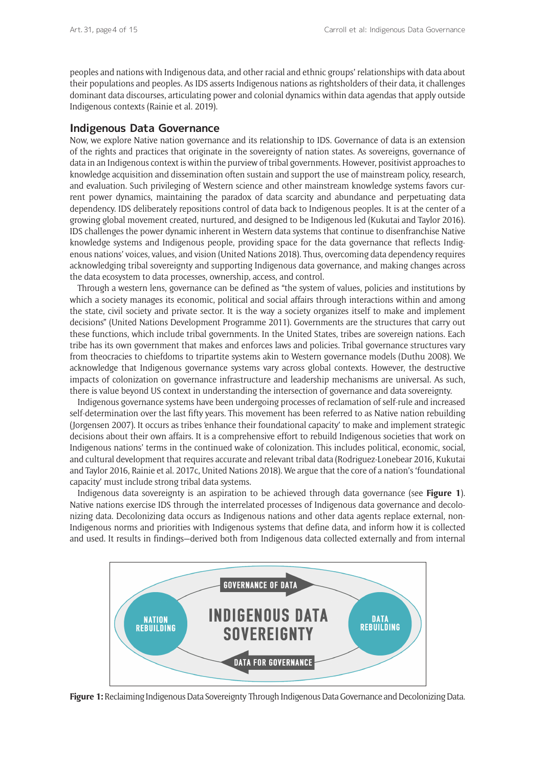peoples and nations with Indigenous data, and other racial and ethnic groups' relationships with data about their populations and peoples. As IDS asserts Indigenous nations as rightsholders of their data, it challenges dominant data discourses, articulating power and colonial dynamics within data agendas that apply outside Indigenous contexts (Rainie et al. 2019).

## **Indigenous Data Governance**

Now, we explore Native nation governance and its relationship to IDS. Governance of data is an extension of the rights and practices that originate in the sovereignty of nation states. As sovereigns, governance of data in an Indigenous context is within the purview of tribal governments. However, positivist approaches to knowledge acquisition and dissemination often sustain and support the use of mainstream policy, research, and evaluation. Such privileging of Western science and other mainstream knowledge systems favors current power dynamics, maintaining the paradox of data scarcity and abundance and perpetuating data dependency. IDS deliberately repositions control of data back to Indigenous peoples. It is at the center of a growing global movement created, nurtured, and designed to be Indigenous led (Kukutai and Taylor 2016). IDS challenges the power dynamic inherent in Western data systems that continue to disenfranchise Native knowledge systems and Indigenous people, providing space for the data governance that reflects Indigenous nations' voices, values, and vision (United Nations 2018). Thus, overcoming data dependency requires acknowledging tribal sovereignty and supporting Indigenous data governance, and making changes across the data ecosystem to data processes, ownership, access, and control.

Through a western lens, governance can be defined as "the system of values, policies and institutions by which a society manages its economic, political and social affairs through interactions within and among the state, civil society and private sector. It is the way a society organizes itself to make and implement decisions" (United Nations Development Programme 2011). Governments are the structures that carry out these functions, which include tribal governments. In the United States, tribes are sovereign nations. Each tribe has its own government that makes and enforces laws and policies. Tribal governance structures vary from theocracies to chiefdoms to tripartite systems akin to Western governance models (Duthu 2008). We acknowledge that Indigenous governance systems vary across global contexts. However, the destructive impacts of colonization on governance infrastructure and leadership mechanisms are universal. As such, there is value beyond US context in understanding the intersection of governance and data sovereignty.

Indigenous governance systems have been undergoing processes of reclamation of self-rule and increased self-determination over the last fifty years. This movement has been referred to as Native nation rebuilding (Jorgensen 2007). It occurs as tribes 'enhance their foundational capacity' to make and implement strategic decisions about their own affairs. It is a comprehensive effort to rebuild Indigenous societies that work on Indigenous nations' terms in the continued wake of colonization. This includes political, economic, social, and cultural development that requires accurate and relevant tribal data (Rodriguez-Lonebear 2016, Kukutai and Taylor 2016, Rainie et al. 2017c, United Nations 2018). We argue that the core of a nation's 'foundational capacity' must include strong tribal data systems.

Indigenous data sovereignty is an aspiration to be achieved through data governance (see **Figure 1**). Native nations exercise IDS through the interrelated processes of Indigenous data governance and decolonizing data. Decolonizing data occurs as Indigenous nations and other data agents replace external, non-Indigenous norms and priorities with Indigenous systems that define data, and inform how it is collected and used. It results in findings—derived both from Indigenous data collected externally and from internal



**Figure 1:** Reclaiming Indigenous Data Sovereignty Through Indigenous Data Governance and Decolonizing Data.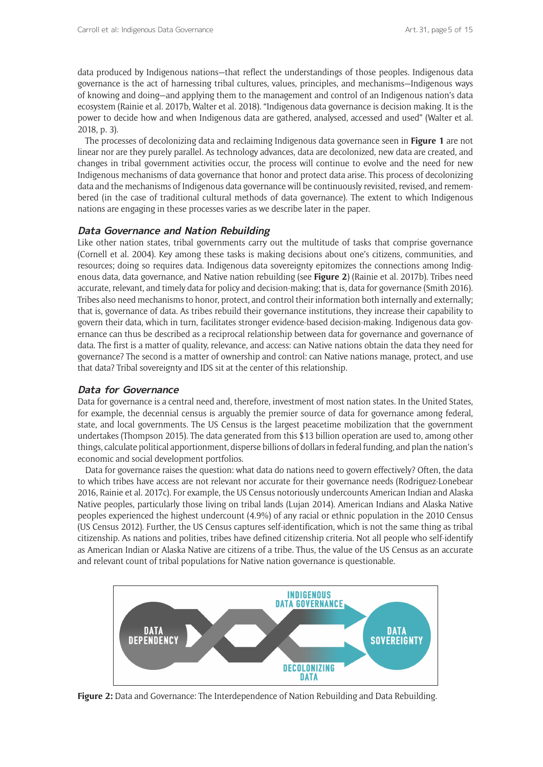data produced by Indigenous nations—that reflect the understandings of those peoples. Indigenous data governance is the act of harnessing tribal cultures, values, principles, and mechanisms—Indigenous ways of knowing and doing—and applying them to the management and control of an Indigenous nation's data ecosystem (Rainie et al. 2017b, Walter et al. 2018). "Indigenous data governance is decision making. It is the power to decide how and when Indigenous data are gathered, analysed, accessed and used" (Walter et al. 2018, p. 3).

The processes of decolonizing data and reclaiming Indigenous data governance seen in **Figure 1** are not linear nor are they purely parallel. As technology advances, data are decolonized, new data are created, and changes in tribal government activities occur, the process will continue to evolve and the need for new Indigenous mechanisms of data governance that honor and protect data arise. This process of decolonizing data and the mechanisms of Indigenous data governance will be continuously revisited, revised, and remembered (in the case of traditional cultural methods of data governance). The extent to which Indigenous nations are engaging in these processes varies as we describe later in the paper.

## **Data Governance and Nation Rebuilding**

Like other nation states, tribal governments carry out the multitude of tasks that comprise governance (Cornell et al. 2004). Key among these tasks is making decisions about one's citizens, communities, and resources; doing so requires data. Indigenous data sovereignty epitomizes the connections among Indigenous data, data governance, and Native nation rebuilding (see **Figure 2**) (Rainie et al. 2017b). Tribes need accurate, relevant, and timely data for policy and decision-making; that is, data for governance (Smith 2016). Tribes also need mechanisms to honor, protect, and control their information both internally and externally; that is, governance of data. As tribes rebuild their governance institutions, they increase their capability to govern their data, which in turn, facilitates stronger evidence-based decision-making. Indigenous data governance can thus be described as a reciprocal relationship between data for governance and governance of data. The first is a matter of quality, relevance, and access: can Native nations obtain the data they need for governance? The second is a matter of ownership and control: can Native nations manage, protect, and use that data? Tribal sovereignty and IDS sit at the center of this relationship.

## **Data for Governance**

Data for governance is a central need and, therefore, investment of most nation states. In the United States, for example, the decennial census is arguably the premier source of data for governance among federal, state, and local governments. The US Census is the largest peacetime mobilization that the government undertakes (Thompson 2015). The data generated from this \$13 billion operation are used to, among other things, calculate political apportionment, disperse billions of dollars in federal funding, and plan the nation's economic and social development portfolios.

Data for governance raises the question: what data do nations need to govern effectively? Often, the data to which tribes have access are not relevant nor accurate for their governance needs (Rodriguez-Lonebear 2016, Rainie et al. 2017c). For example, the US Census notoriously undercounts American Indian and Alaska Native peoples, particularly those living on tribal lands (Lujan 2014). American Indians and Alaska Native peoples experienced the highest undercount (4.9%) of any racial or ethnic population in the 2010 Census (US Census 2012). Further, the US Census captures self-identification, which is not the same thing as tribal citizenship. As nations and polities, tribes have defined citizenship criteria. Not all people who self-identify as American Indian or Alaska Native are citizens of a tribe. Thus, the value of the US Census as an accurate and relevant count of tribal populations for Native nation governance is questionable.



**Figure 2:** Data and Governance: The Interdependence of Nation Rebuilding and Data Rebuilding.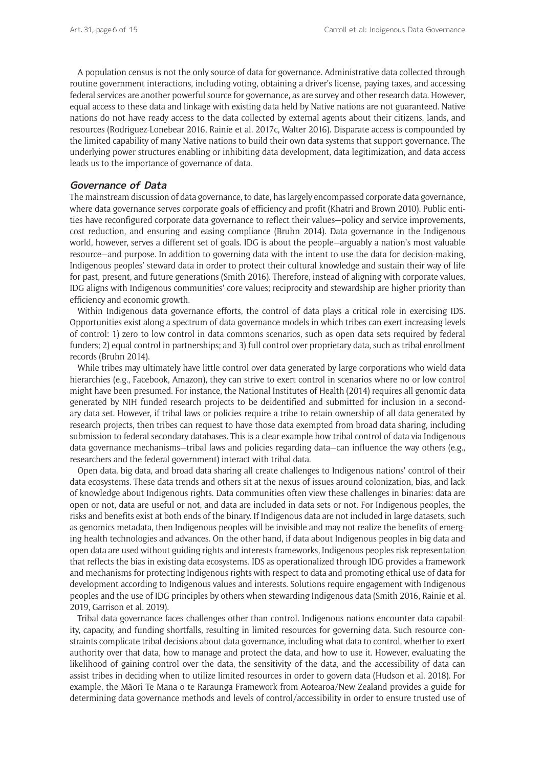A population census is not the only source of data for governance. Administrative data collected through routine government interactions, including voting, obtaining a driver's license, paying taxes, and accessing federal services are another powerful source for governance, as are survey and other research data. However, equal access to these data and linkage with existing data held by Native nations are not guaranteed. Native nations do not have ready access to the data collected by external agents about their citizens, lands, and resources (Rodriguez-Lonebear 2016, Rainie et al. 2017c, Walter 2016). Disparate access is compounded by the limited capability of many Native nations to build their own data systems that support governance. The underlying power structures enabling or inhibiting data development, data legitimization, and data access leads us to the importance of governance of data.

## **Governance of Data**

The mainstream discussion of data governance, to date, has largely encompassed corporate data governance, where data governance serves corporate goals of efficiency and profit (Khatri and Brown 2010). Public entities have reconfigured corporate data governance to reflect their values—policy and service improvements, cost reduction, and ensuring and easing compliance (Bruhn 2014). Data governance in the Indigenous world, however, serves a different set of goals. IDG is about the people—arguably a nation's most valuable resource—and purpose. In addition to governing data with the intent to use the data for decision-making, Indigenous peoples' steward data in order to protect their cultural knowledge and sustain their way of life for past, present, and future generations (Smith 2016). Therefore, instead of aligning with corporate values, IDG aligns with Indigenous communities' core values; reciprocity and stewardship are higher priority than efficiency and economic growth.

Within Indigenous data governance efforts, the control of data plays a critical role in exercising IDS. Opportunities exist along a spectrum of data governance models in which tribes can exert increasing levels of control: 1) zero to low control in data commons scenarios, such as open data sets required by federal funders; 2) equal control in partnerships; and 3) full control over proprietary data, such as tribal enrollment records (Bruhn 2014).

While tribes may ultimately have little control over data generated by large corporations who wield data hierarchies (e.g., Facebook, Amazon), they can strive to exert control in scenarios where no or low control might have been presumed. For instance, the National Institutes of Health (2014) requires all genomic data generated by NIH funded research projects to be deidentified and submitted for inclusion in a secondary data set. However, if tribal laws or policies require a tribe to retain ownership of all data generated by research projects, then tribes can request to have those data exempted from broad data sharing, including submission to federal secondary databases. This is a clear example how tribal control of data via Indigenous data governance mechanisms—tribal laws and policies regarding data—can influence the way others (e.g., researchers and the federal government) interact with tribal data.

Open data, big data, and broad data sharing all create challenges to Indigenous nations' control of their data ecosystems. These data trends and others sit at the nexus of issues around colonization, bias, and lack of knowledge about Indigenous rights. Data communities often view these challenges in binaries: data are open or not, data are useful or not, and data are included in data sets or not. For Indigenous peoples, the risks and benefits exist at both ends of the binary. If Indigenous data are not included in large datasets, such as genomics metadata, then Indigenous peoples will be invisible and may not realize the benefits of emerging health technologies and advances. On the other hand, if data about Indigenous peoples in big data and open data are used without guiding rights and interests frameworks, Indigenous peoples risk representation that reflects the bias in existing data ecosystems. IDS as operationalized through IDG provides a framework and mechanisms for protecting Indigenous rights with respect to data and promoting ethical use of data for development according to Indigenous values and interests. Solutions require engagement with Indigenous peoples and the use of IDG principles by others when stewarding Indigenous data (Smith 2016, Rainie et al. 2019, Garrison et al. 2019).

Tribal data governance faces challenges other than control. Indigenous nations encounter data capability, capacity, and funding shortfalls, resulting in limited resources for governing data. Such resource constraints complicate tribal decisions about data governance, including what data to control, whether to exert authority over that data, how to manage and protect the data, and how to use it. However, evaluating the likelihood of gaining control over the data, the sensitivity of the data, and the accessibility of data can assist tribes in deciding when to utilize limited resources in order to govern data (Hudson et al. 2018). For example, the Māori Te Mana o te Raraunga Framework from Aotearoa/New Zealand provides a guide for determining data governance methods and levels of control/accessibility in order to ensure trusted use of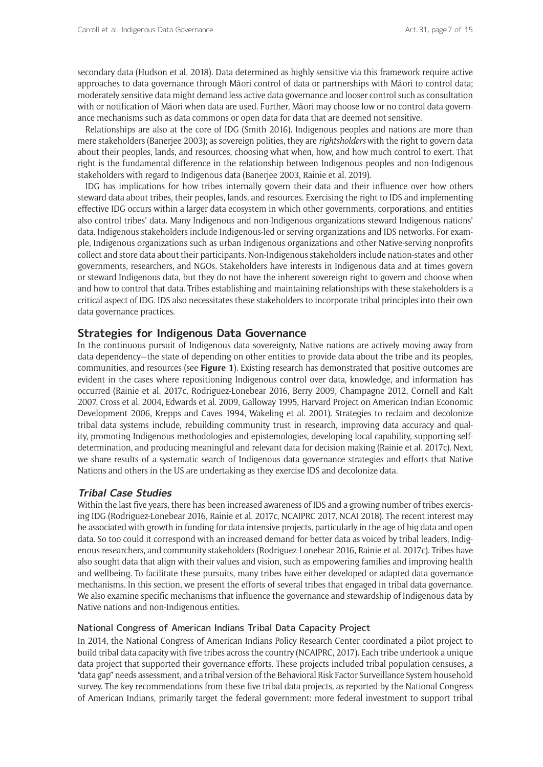secondary data (Hudson et al. 2018). Data determined as highly sensitive via this framework require active approaches to data governance through Māori control of data or partnerships with Māori to control data; moderately sensitive data might demand less active data governance and looser control such as consultation with or notification of Māori when data are used. Further, Māori may choose low or no control data governance mechanisms such as data commons or open data for data that are deemed not sensitive.

Relationships are also at the core of IDG (Smith 2016). Indigenous peoples and nations are more than mere stakeholders (Banerjee 2003); as sovereign polities, they are *rightsholders* with the right to govern data about their peoples, lands, and resources, choosing what when, how, and how much control to exert. That right is the fundamental difference in the relationship between Indigenous peoples and non-Indigenous stakeholders with regard to Indigenous data (Banerjee 2003, Rainie et al. 2019).

IDG has implications for how tribes internally govern their data and their influence over how others steward data about tribes, their peoples, lands, and resources. Exercising the right to IDS and implementing effective IDG occurs within a larger data ecosystem in which other governments, corporations, and entities also control tribes' data. Many Indigenous and non-Indigenous organizations steward Indigenous nations' data. Indigenous stakeholders include Indigenous-led or serving organizations and IDS networks. For example, Indigenous organizations such as urban Indigenous organizations and other Native-serving nonprofits collect and store data about their participants. Non-Indigenous stakeholders include nation-states and other governments, researchers, and NGOs. Stakeholders have interests in Indigenous data and at times govern or steward Indigenous data, but they do not have the inherent sovereign right to govern and choose when and how to control that data. Tribes establishing and maintaining relationships with these stakeholders is a critical aspect of IDG. IDS also necessitates these stakeholders to incorporate tribal principles into their own data governance practices.

## **Strategies for Indigenous Data Governance**

In the continuous pursuit of Indigenous data sovereignty, Native nations are actively moving away from data dependency—the state of depending on other entities to provide data about the tribe and its peoples, communities, and resources (see **Figure 1**). Existing research has demonstrated that positive outcomes are evident in the cases where repositioning Indigenous control over data, knowledge, and information has occurred (Rainie et al. 2017c, Rodriguez-Lonebear 2016, Berry 2009, Champagne 2012, Cornell and Kalt 2007, Cross et al. 2004, Edwards et al. 2009, Galloway 1995, Harvard Project on American Indian Economic Development 2006, Krepps and Caves 1994, Wakeling et al. 2001). Strategies to reclaim and decolonize tribal data systems include, rebuilding community trust in research, improving data accuracy and quality, promoting Indigenous methodologies and epistemologies, developing local capability, supporting selfdetermination, and producing meaningful and relevant data for decision making (Rainie et al. 2017c). Next, we share results of a systematic search of Indigenous data governance strategies and efforts that Native Nations and others in the US are undertaking as they exercise IDS and decolonize data.

## **Tribal Case Studies**

Within the last five years, there has been increased awareness of IDS and a growing number of tribes exercising IDG (Rodriguez-Lonebear 2016, Rainie et al. 2017c, NCAIPRC 2017, NCAI 2018). The recent interest may be associated with growth in funding for data intensive projects, particularly in the age of big data and open data. So too could it correspond with an increased demand for better data as voiced by tribal leaders, Indigenous researchers, and community stakeholders (Rodriguez-Lonebear 2016, Rainie et al. 2017c). Tribes have also sought data that align with their values and vision, such as empowering families and improving health and wellbeing. To facilitate these pursuits, many tribes have either developed or adapted data governance mechanisms. In this section, we present the efforts of several tribes that engaged in tribal data governance. We also examine specific mechanisms that influence the governance and stewardship of Indigenous data by Native nations and non-Indigenous entities.

## National Congress of American Indians Tribal Data Capacity Project

In 2014, the National Congress of American Indians Policy Research Center coordinated a pilot project to build tribal data capacity with five tribes across the country (NCAIPRC, 2017). Each tribe undertook a unique data project that supported their governance efforts. These projects included tribal population censuses, a "data gap" needs assessment, and a tribal version of the Behavioral Risk Factor Surveillance System household survey. The key recommendations from these five tribal data projects, as reported by the National Congress of American Indians, primarily target the federal government: more federal investment to support tribal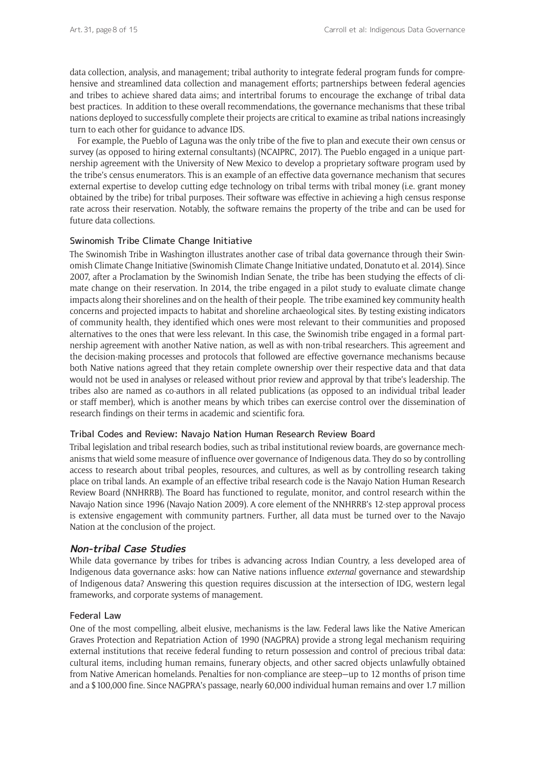data collection, analysis, and management; tribal authority to integrate federal program funds for comprehensive and streamlined data collection and management efforts; partnerships between federal agencies and tribes to achieve shared data aims; and intertribal forums to encourage the exchange of tribal data best practices. In addition to these overall recommendations, the governance mechanisms that these tribal nations deployed to successfully complete their projects are critical to examine as tribal nations increasingly turn to each other for guidance to advance IDS.

For example, the Pueblo of Laguna was the only tribe of the five to plan and execute their own census or survey (as opposed to hiring external consultants) (NCAIPRC, 2017). The Pueblo engaged in a unique partnership agreement with the University of New Mexico to develop a proprietary software program used by the tribe's census enumerators. This is an example of an effective data governance mechanism that secures external expertise to develop cutting edge technology on tribal terms with tribal money (i.e. grant money obtained by the tribe) for tribal purposes. Their software was effective in achieving a high census response rate across their reservation. Notably, the software remains the property of the tribe and can be used for future data collections.

## Swinomish Tribe Climate Change Initiative

The Swinomish Tribe in Washington illustrates another case of tribal data governance through their Swinomish Climate Change Initiative (Swinomish Climate Change Initiative undated, Donatuto et al. 2014). Since 2007, after a Proclamation by the Swinomish Indian Senate, the tribe has been studying the effects of climate change on their reservation. In 2014, the tribe engaged in a pilot study to evaluate climate change impacts along their shorelines and on the health of their people. The tribe examined key community health concerns and projected impacts to habitat and shoreline archaeological sites. By testing existing indicators of community health, they identified which ones were most relevant to their communities and proposed alternatives to the ones that were less relevant. In this case, the Swinomish tribe engaged in a formal partnership agreement with another Native nation, as well as with non-tribal researchers. This agreement and the decision-making processes and protocols that followed are effective governance mechanisms because both Native nations agreed that they retain complete ownership over their respective data and that data would not be used in analyses or released without prior review and approval by that tribe's leadership. The tribes also are named as co-authors in all related publications (as opposed to an individual tribal leader or staff member), which is another means by which tribes can exercise control over the dissemination of research findings on their terms in academic and scientific fora.

#### Tribal Codes and Review: Navajo Nation Human Research Review Board

Tribal legislation and tribal research bodies, such as tribal institutional review boards, are governance mechanisms that wield some measure of influence over governance of Indigenous data. They do so by controlling access to research about tribal peoples, resources, and cultures, as well as by controlling research taking place on tribal lands. An example of an effective tribal research code is the Navajo Nation Human Research Review Board (NNHRRB). The Board has functioned to regulate, monitor, and control research within the Navajo Nation since 1996 (Navajo Nation 2009). A core element of the NNHRRB's 12-step approval process is extensive engagement with community partners. Further, all data must be turned over to the Navajo Nation at the conclusion of the project.

#### **Non-tribal Case Studies**

While data governance by tribes for tribes is advancing across Indian Country, a less developed area of Indigenous data governance asks: how can Native nations influence *external* governance and stewardship of Indigenous data? Answering this question requires discussion at the intersection of IDG, western legal frameworks, and corporate systems of management.

#### Federal Law

One of the most compelling, albeit elusive, mechanisms is the law. Federal laws like the Native American Graves Protection and Repatriation Action of 1990 (NAGPRA) provide a strong legal mechanism requiring external institutions that receive federal funding to return possession and control of precious tribal data: cultural items, including human remains, funerary objects, and other sacred objects unlawfully obtained from Native American homelands. Penalties for non-compliance are steep—up to 12 months of prison time and a \$100,000 fine. Since NAGPRA's passage, nearly 60,000 individual human remains and over 1.7 million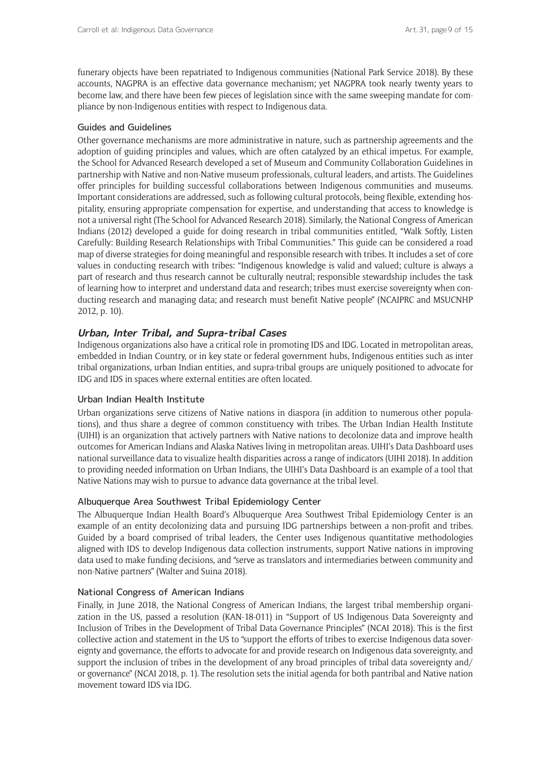funerary objects have been repatriated to Indigenous communities (National Park Service 2018). By these accounts, NAGPRA is an effective data governance mechanism; yet NAGPRA took nearly twenty years to become law, and there have been few pieces of legislation since with the same sweeping mandate for compliance by non-Indigenous entities with respect to Indigenous data.

## Guides and Guidelines

Other governance mechanisms are more administrative in nature, such as partnership agreements and the adoption of guiding principles and values, which are often catalyzed by an ethical impetus. For example, the School for Advanced Research developed a set of Museum and Community Collaboration Guidelines in partnership with Native and non-Native museum professionals, cultural leaders, and artists. The Guidelines offer principles for building successful collaborations between Indigenous communities and museums. Important considerations are addressed, such as following cultural protocols, being flexible, extending hospitality, ensuring appropriate compensation for expertise, and understanding that access to knowledge is not a universal right (The School for Advanced Research 2018). Similarly, the National Congress of American Indians (2012) developed a guide for doing research in tribal communities entitled, "Walk Softly, Listen Carefully: Building Research Relationships with Tribal Communities." This guide can be considered a road map of diverse strategies for doing meaningful and responsible research with tribes. It includes a set of core values in conducting research with tribes: "Indigenous knowledge is valid and valued; culture is always a part of research and thus research cannot be culturally neutral; responsible stewardship includes the task of learning how to interpret and understand data and research; tribes must exercise sovereignty when conducting research and managing data; and research must benefit Native people" (NCAIPRC and MSUCNHP 2012, p. 10).

## **Urban, Inter Tribal, and Supra-tribal Cases**

Indigenous organizations also have a critical role in promoting IDS and IDG. Located in metropolitan areas, embedded in Indian Country, or in key state or federal government hubs, Indigenous entities such as inter tribal organizations, urban Indian entities, and supra-tribal groups are uniquely positioned to advocate for IDG and IDS in spaces where external entities are often located.

## Urban Indian Health Institute

Urban organizations serve citizens of Native nations in diaspora (in addition to numerous other populations), and thus share a degree of common constituency with tribes. The Urban Indian Health Institute (UIHI) is an organization that actively partners with Native nations to decolonize data and improve health outcomes for American Indians and Alaska Natives living in metropolitan areas. UIHI's Data Dashboard uses national surveillance data to visualize health disparities across a range of indicators (UIHI 2018). In addition to providing needed information on Urban Indians, the UIHI's Data Dashboard is an example of a tool that Native Nations may wish to pursue to advance data governance at the tribal level.

## Albuquerque Area Southwest Tribal Epidemiology Center

The Albuquerque Indian Health Board's Albuquerque Area Southwest Tribal Epidemiology Center is an example of an entity decolonizing data and pursuing IDG partnerships between a non-profit and tribes. Guided by a board comprised of tribal leaders, the Center uses Indigenous quantitative methodologies aligned with IDS to develop Indigenous data collection instruments, support Native nations in improving data used to make funding decisions, and "serve as translators and intermediaries between community and non-Native partners" (Walter and Suina 2018).

## National Congress of American Indians

Finally, in June 2018, the National Congress of American Indians, the largest tribal membership organization in the US, passed a resolution (KAN-18-011) in "Support of US Indigenous Data Sovereignty and Inclusion of Tribes in the Development of Tribal Data Governance Principles" (NCAI 2018). This is the first collective action and statement in the US to "support the efforts of tribes to exercise Indigenous data sovereignty and governance, the efforts to advocate for and provide research on Indigenous data sovereignty, and support the inclusion of tribes in the development of any broad principles of tribal data sovereignty and/ or governance" (NCAI 2018, p. 1). The resolution sets the initial agenda for both pantribal and Native nation movement toward IDS via IDG.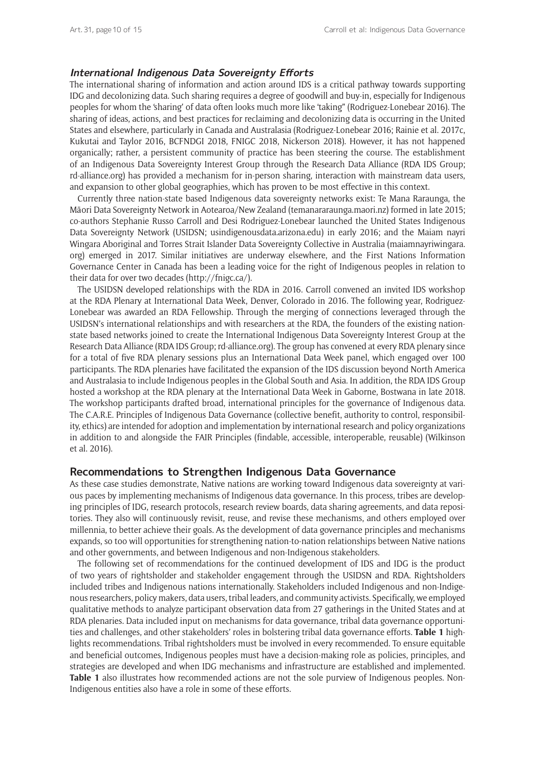## **International Indigenous Data Sovereignty Efforts**

The international sharing of information and action around IDS is a critical pathway towards supporting IDG and decolonizing data. Such sharing requires a degree of goodwill and buy-in, especially for Indigenous peoples for whom the 'sharing' of data often looks much more like 'taking" (Rodriguez-Lonebear 2016). The sharing of ideas, actions, and best practices for reclaiming and decolonizing data is occurring in the United States and elsewhere, particularly in Canada and Australasia (Rodriguez-Lonebear 2016; Rainie et al. 2017c, Kukutai and Taylor 2016, BCFNDGI 2018, FNIGC 2018, Nickerson 2018). However, it has not happened organically; rather, a persistent community of practice has been steering the course. The establishment of an Indigenous Data Sovereignty Interest Group through the Research Data Alliance (RDA IDS Group; [rd-alliance.org\)](http://rd-alliance.org) has provided a mechanism for in-person sharing, interaction with mainstream data users, and expansion to other global geographies, which has proven to be most effective in this context.

Currently three nation-state based Indigenous data sovereignty networks exist: Te Mana Raraunga, the Māori Data Sovereignty Network in Aotearoa/New Zealand ([temanararaunga.maori.nz\)](http://temanararaunga.maori.nz) formed in late 2015; co-authors Stephanie Russo Carroll and Desi Rodriguez-Lonebear launched the United States Indigenous Data Sovereignty Network (USIDSN; [usindigenousdata.arizona.edu](http://usindigenousdata.arizona.edu)) in early 2016; and the Maiam nayri Wingara Aboriginal and Torres Strait Islander Data Sovereignty Collective in Australia [\(maiamnayriwingara.](http://maiamnayriwingara.org) [org](http://maiamnayriwingara.org)) emerged in 2017. Similar initiatives are underway elsewhere, and the First Nations Information Governance Center in Canada has been a leading voice for the right of Indigenous peoples in relation to their data for over two decades ([http://fnigc.ca/\)](http://fnigc.ca/).

The USIDSN developed relationships with the RDA in 2016. Carroll convened an invited IDS workshop at the RDA Plenary at International Data Week, Denver, Colorado in 2016. The following year, Rodriguez-Lonebear was awarded an RDA Fellowship. Through the merging of connections leveraged through the USIDSN's international relationships and with researchers at the RDA, the founders of the existing nationstate based networks joined to create the International Indigenous Data Sovereignty Interest Group at the Research Data Alliance (RDA IDS Group; [rd-alliance.org\)](http://rd-alliance.org). The group has convened at every RDA plenary since for a total of five RDA plenary sessions plus an International Data Week panel, which engaged over 100 participants. The RDA plenaries have facilitated the expansion of the IDS discussion beyond North America and Australasia to include Indigenous peoples in the Global South and Asia. In addition, the RDA IDS Group hosted a workshop at the RDA plenary at the International Data Week in Gaborne, Bostwana in late 2018. The workshop participants drafted broad, international principles for the governance of Indigenous data. The C.A.R.E. Principles of Indigenous Data Governance (collective benefit, authority to control, responsibility, ethics) are intended for adoption and implementation by international research and policy organizations in addition to and alongside the FAIR Principles (findable, accessible, interoperable, reusable) (Wilkinson et al. 2016).

## **Recommendations to Strengthen Indigenous Data Governance**

As these case studies demonstrate, Native nations are working toward Indigenous data sovereignty at various paces by implementing mechanisms of Indigenous data governance. In this process, tribes are developing principles of IDG, research protocols, research review boards, data sharing agreements, and data repositories. They also will continuously revisit, reuse, and revise these mechanisms, and others employed over millennia, to better achieve their goals. As the development of data governance principles and mechanisms expands, so too will opportunities for strengthening nation-to-nation relationships between Native nations and other governments, and between Indigenous and non-Indigenous stakeholders.

The following set of recommendations for the continued development of IDS and IDG is the product of two years of rightsholder and stakeholder engagement through the USIDSN and RDA. Rightsholders included tribes and Indigenous nations internationally. Stakeholders included Indigenous and non-Indigenous researchers, policy makers, data users, tribal leaders, and community activists. Specifically, we employed qualitative methods to analyze participant observation data from 27 gatherings in the United States and at RDA plenaries. Data included input on mechanisms for data governance, tribal data governance opportunities and challenges, and other stakeholders' roles in bolstering tribal data governance efforts. **Table 1** highlights recommendations. Tribal rightsholders must be involved in every recommended. To ensure equitable and beneficial outcomes, Indigenous peoples must have a decision-making role as policies, principles, and strategies are developed and when IDG mechanisms and infrastructure are established and implemented. **Table 1** also illustrates how recommended actions are not the sole purview of Indigenous peoples. Non-Indigenous entities also have a role in some of these efforts.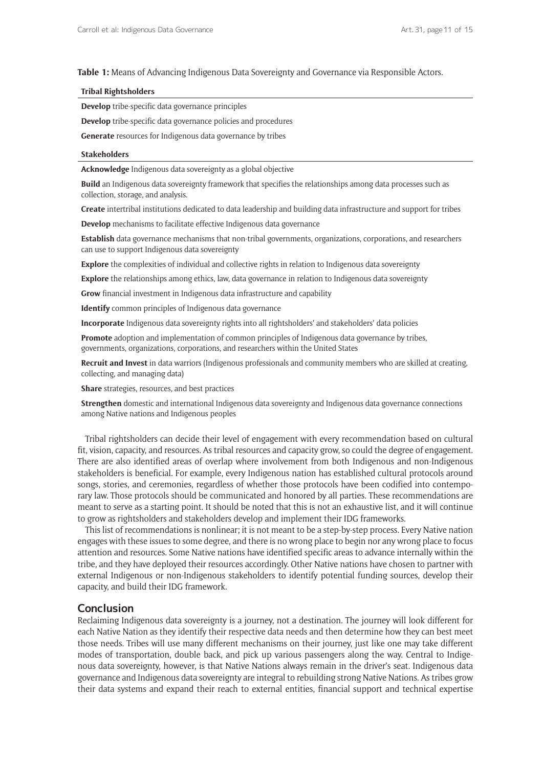#### **Table 1:** Means of Advancing Indigenous Data Sovereignty and Governance via Responsible Actors.

#### **Tribal Rightsholders**

**Develop** tribe-specific data governance principles

**Develop** tribe-specific data governance policies and procedures

**Generate** resources for Indigenous data governance by tribes

#### **Stakeholders**

**Acknowledge** Indigenous data sovereignty as a global objective

**Build** an Indigenous data sovereignty framework that specifies the relationships among data processes such as collection, storage, and analysis.

**Create** intertribal institutions dedicated to data leadership and building data infrastructure and support for tribes

**Develop** mechanisms to facilitate effective Indigenous data governance

**Establish** data governance mechanisms that non-tribal governments, organizations, corporations, and researchers can use to support Indigenous data sovereignty

**Explore** the complexities of individual and collective rights in relation to Indigenous data sovereignty

**Explore** the relationships among ethics, law, data governance in relation to Indigenous data sovereignty

**Grow** financial investment in Indigenous data infrastructure and capability

**Identify** common principles of Indigenous data governance

**Incorporate** Indigenous data sovereignty rights into all rightsholders' and stakeholders' data policies

**Promote** adoption and implementation of common principles of Indigenous data governance by tribes, governments, organizations, corporations, and researchers within the United States

**Recruit and Invest** in data warriors (Indigenous professionals and community members who are skilled at creating, collecting, and managing data)

**Share** strategies, resources, and best practices

**Strengthen** domestic and international Indigenous data sovereignty and Indigenous data governance connections among Native nations and Indigenous peoples

Tribal rightsholders can decide their level of engagement with every recommendation based on cultural fit, vision, capacity, and resources. As tribal resources and capacity grow, so could the degree of engagement. There are also identified areas of overlap where involvement from both Indigenous and non-Indigenous stakeholders is beneficial. For example, every Indigenous nation has established cultural protocols around songs, stories, and ceremonies, regardless of whether those protocols have been codified into contemporary law. Those protocols should be communicated and honored by all parties. These recommendations are meant to serve as a starting point. It should be noted that this is not an exhaustive list, and it will continue to grow as rightsholders and stakeholders develop and implement their IDG frameworks.

This list of recommendations is nonlinear; it is not meant to be a step-by-step process. Every Native nation engages with these issues to some degree, and there is no wrong place to begin nor any wrong place to focus attention and resources. Some Native nations have identified specific areas to advance internally within the tribe, and they have deployed their resources accordingly. Other Native nations have chosen to partner with external Indigenous or non-Indigenous stakeholders to identify potential funding sources, develop their capacity, and build their IDG framework.

## **Conclusion**

Reclaiming Indigenous data sovereignty is a journey, not a destination. The journey will look different for each Native Nation as they identify their respective data needs and then determine how they can best meet those needs. Tribes will use many different mechanisms on their journey, just like one may take different modes of transportation, double back, and pick up various passengers along the way. Central to Indigenous data sovereignty, however, is that Native Nations always remain in the driver's seat. Indigenous data governance and Indigenous data sovereignty are integral to rebuilding strong Native Nations. As tribes grow their data systems and expand their reach to external entities, financial support and technical expertise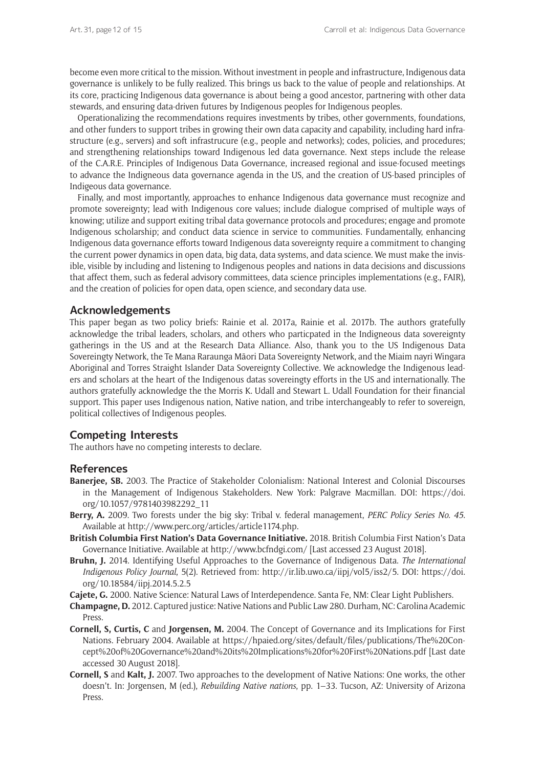become even more critical to the mission. Without investment in people and infrastructure, Indigenous data governance is unlikely to be fully realized. This brings us back to the value of people and relationships. At its core, practicing Indigenous data governance is about being a good ancestor, partnering with other data stewards, and ensuring data-driven futures by Indigenous peoples for Indigenous peoples.

Operationalizing the recommendations requires investments by tribes, other governments, foundations, and other funders to support tribes in growing their own data capacity and capability, including hard infrastructure (e.g., servers) and soft infrastrucure (e.g., people and networks); codes, policies, and procedures; and strengthening relationships toward Indigenous led data governance. Next steps include the release of the C.A.R.E. Principles of Indigenous Data Governance, increased regional and issue-focused meetings to advance the Indigneous data governance agenda in the US, and the creation of US-based principles of Indigeous data governance.

Finally, and most importantly, approaches to enhance Indigenous data governance must recognize and promote sovereignty; lead with Indigenous core values; include dialogue comprised of multiple ways of knowing; utilize and support exiting tribal data governance protocols and procedures; engage and promote Indigenous scholarship; and conduct data science in service to communities. Fundamentally, enhancing Indigenous data governance efforts toward Indigenous data sovereignty require a commitment to changing the current power dynamics in open data, big data, data systems, and data science. We must make the invisible, visible by including and listening to Indigenous peoples and nations in data decisions and discussions that affect them, such as federal advisory committees, data science principles implementations (e.g., FAIR), and the creation of policies for open data, open science, and secondary data use.

## **Acknowledgements**

This paper began as two policy briefs: Rainie et al. 2017a, Rainie et al. 2017b. The authors gratefully acknowledge the tribal leaders, scholars, and others who particpated in the Indigneous data sovereignty gatherings in the US and at the Research Data Alliance. Also, thank you to the US Indigenous Data Sovereingty Network, the Te Mana Raraunga Māori Data Sovereignty Network, and the Miaim nayri Wingara Aboriginal and Torres Straight Islander Data Sovereignty Collective. We acknowledge the Indigenous leaders and scholars at the heart of the Indigenous datas sovereingty efforts in the US and internationally. The authors gratefully acknowledge the the Morris K. Udall and Stewart L. Udall Foundation for their financial support. This paper uses Indigenous nation, Native nation, and tribe interchangeably to refer to sovereign, political collectives of Indigenous peoples.

## **Competing Interests**

The authors have no competing interests to declare.

#### **References**

- **Banerjee, SB.** 2003. The Practice of Stakeholder Colonialism: National Interest and Colonial Discourses in the Management of Indigenous Stakeholders. New York: Palgrave Macmillan. DOI: [https://doi.](https://doi.org/10.1057/9781403982292_11) [org/10.1057/9781403982292\\_11](https://doi.org/10.1057/9781403982292_11)
- **Berry, A.** 2009. Two forests under the big sky: Tribal v. federal management, *PERC Policy Series No. 45*. Available at <http://www.perc.org/articles/article1174.php>.
- **British Columbia First Nation's Data Governance Initiative.** 2018. British Columbia First Nation's Data Governance Initiative. Available at<http://www.bcfndgi.com/> [Last accessed 23 August 2018].
- **Bruhn, J.** 2014. Identifying Useful Approaches to the Governance of Indigenous Data. *The International Indigenous Policy Journal*, 5(2). Retrieved from: <http://ir.lib.uwo.ca/iipj/vol5/iss2/5>. DOI: [https://doi.](https://doi.org/10.18584/iipj.2014.5.2.5) [org/10.18584/iipj.2014.5.2.5](https://doi.org/10.18584/iipj.2014.5.2.5)
- **Cajete, G.** 2000. Native Science: Natural Laws of Interdependence. Santa Fe, NM: Clear Light Publishers.
- **Champagne, D.** 2012. Captured justice: Native Nations and Public Law 280. Durham, NC: Carolina Academic Press.
- **Cornell, S, Curtis, C** and **Jorgensen, M.** 2004. The Concept of Governance and its Implications for First Nations. February 2004. Available at [https://hpaied.org/sites/default/files/publications/The%20Con](https://hpaied.org/sites/default/files/publications/The%20Concept%20of%20Governance%20and%20its%20Implications%20for%20First%20Nations.pdf)[cept%20of%20Governance%20and%20its%20Implications%20for%20First%20Nations.pdf](https://hpaied.org/sites/default/files/publications/The%20Concept%20of%20Governance%20and%20its%20Implications%20for%20First%20Nations.pdf) [Last date accessed 30 August 2018].
- **Cornell, S** and **Kalt, J.** 2007. Two approaches to the development of Native Nations: One works, the other doesn't. In: Jorgensen, M (ed.), *Rebuilding Native nations*, pp. 1–33. Tucson, AZ: University of Arizona Press.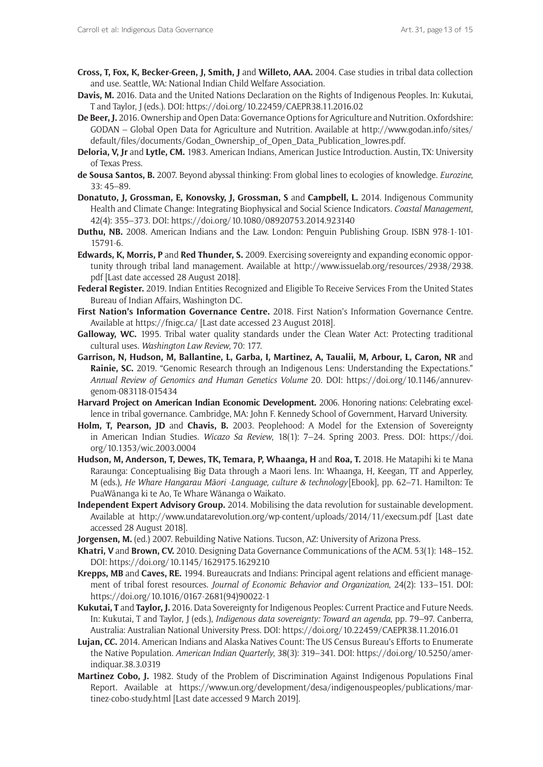- **Cross, T, Fox, K, Becker-Green, J, Smith, J** and **Willeto, AAA.** 2004. Case studies in tribal data collection and use. Seattle, WA: National Indian Child Welfare Association.
- **Davis, M.** 2016. Data and the United Nations Declaration on the Rights of Indigenous Peoples. In: Kukutai, T and Taylor, J (eds.). DOI: https://doi.org/10.22459/CAEPR38.11.2016.02
- **De Beer, J.** 2016. Ownership and Open Data: Governance Options for Agriculture and Nutrition. Oxfordshire: GODAN – Global Open Data for Agriculture and Nutrition. Available at [http://www.godan.info/sites/](http://www.godan.info/sites/default/files/documents/Godan_Ownership_of_Open_Data_Publication_lowres.pdf) [default/files/documents/Godan\\_Ownership\\_of\\_Open\\_Data\\_Publication\\_lowres.pdf.](http://www.godan.info/sites/default/files/documents/Godan_Ownership_of_Open_Data_Publication_lowres.pdf)
- **Deloria, V, Jr** and **Lytle, CM.** 1983. American Indians, American Justice Introduction. Austin, TX: University of Texas Press.
- **de Sousa Santos, B.** 2007. Beyond abyssal thinking: From global lines to ecologies of knowledge. *Eurozine*, 33: 45–89.
- **Donatuto, J, Grossman, E, Konovsky, J, Grossman, S** and **Campbell, L.** 2014. Indigenous Community Health and Climate Change: Integrating Biophysical and Social Science Indicators. *Coastal Management*, 42(4): 355–373. DOI: <https://doi.org/10.1080/08920753.2014.923140>
- **Duthu, NB.** 2008. American Indians and the Law. London: Penguin Publishing Group. ISBN 978-1-101- 15791-6.
- **Edwards, K, Morris, P** and **Red Thunder, S.** 2009. Exercising sovereignty and expanding economic opportunity through tribal land management. Available at [http://www.issuelab.org/resources/2938/2938.](http://www.issuelab.org/resources/2938/2938.pdf) [pdf](http://www.issuelab.org/resources/2938/2938.pdf) [Last date accessed 28 August 2018].
- **Federal Register.** 2019. Indian Entities Recognized and Eligible To Receive Services From the United States Bureau of Indian Affairs, Washington DC.
- **First Nation's Information Governance Centre.** 2018. First Nation's Information Governance Centre. Available at<https://fnigc.ca/>[Last date accessed 23 August 2018].
- **Galloway, WC.** 1995. Tribal water quality standards under the Clean Water Act: Protecting traditional cultural uses. *Washington Law Review*, 70: 177.
- **Garrison, N, Hudson, M, Ballantine, L, Garba, I, Martinez, A, Taualii, M, Arbour, L, Caron, NR** and **Rainie, SC.** 2019. "Genomic Research through an Indigenous Lens: Understanding the Expectations." *Annual Review of Genomics and Human Genetics Volume* 20. DOI: [https://doi.org/10.1146/annurev](https://doi.org/10.1146/annurev-genom-083118-015434)[genom-083118-015434](https://doi.org/10.1146/annurev-genom-083118-015434)
- **Harvard Project on American Indian Economic Development.** 2006. Honoring nations: Celebrating excellence in tribal governance. Cambridge, MA: John F. Kennedy School of Government, Harvard University.
- **Holm, T, Pearson, JD** and **Chavis, B.** 2003. Peoplehood: A Model for the Extension of Sovereignty in American Indian Studies. *Wicazo Sa Review*, 18(1): 7–24. Spring 2003. Press. DOI: [https://doi.](https://doi.org/10.1353/wic.2003.0004) [org/10.1353/wic.2003.0004](https://doi.org/10.1353/wic.2003.0004)
- **Hudson, M, Anderson, T, Dewes, TK, Temara, P, Whaanga, H** and **Roa, T.** 2018. He Matapihi ki te Mana Raraunga: Conceptualising Big Data through a Maori lens. In: Whaanga, H, Keegan, TT and Apperley, M (eds.), *He Whare Hangarau M*ā*ori -Language, culture & technology* [Ebook], pp. 62–71. Hamilton: Te PuaWānanga ki te Ao, Te Whare Wānanga o Waikato.
- **Independent Expert Advisory Group.** 2014. Mobilising the data revolution for sustainable development. Available at <http://www.undatarevolution.org/wp-content/uploads/2014/11/execsum.pdf> [Last date accessed 28 August 2018].
- **Jorgensen, M.** (ed.) 2007. Rebuilding Native Nations. Tucson, AZ: University of Arizona Press.
- **Khatri, V** and **Brown, CV.** 2010. Designing Data Governance Communications of the ACM. 53(1): 148–152. DOI: <https://doi.org/10.1145/1629175.1629210>
- **Krepps, MB** and **Caves, RE.** 1994. Bureaucrats and Indians: Principal agent relations and efficient management of tribal forest resources. *Journal of Economic Behavior and Organization*, 24(2): 133–151. DOI: [https://doi.org/10.1016/0167-2681\(94\)90022-1](https://doi.org/10.1016/0167-2681(94)90022-1)
- **Kukutai, T** and **Taylor, J.** 2016. Data Sovereignty for Indigenous Peoples: Current Practice and Future Needs. In: Kukutai, T and Taylor, J (eds.), *Indigenous data sovereignty: Toward an agenda*, pp. 79–97. Canberra, Australia: Australian National University Press. DOI: <https://doi.org/10.22459/CAEPR38.11.2016.01>
- **Lujan, CC.** 2014. American Indians and Alaska Natives Count: The US Census Bureau's Efforts to Enumerate the Native Population. *American Indian Quarterly*, 38(3): 319–341. DOI: [https://doi.org/10.5250/amer](https://doi.org/10.5250/amerindiquar.38.3.0319)[indiquar.38.3.0319](https://doi.org/10.5250/amerindiquar.38.3.0319)
- **Martinez Cobo, J.** 1982. Study of the Problem of Discrimination Against Indigenous Populations Final Report. Available at [https://www.un.org/development/desa/indigenouspeoples/publications/mar](https://www.un.org/development/desa/indigenouspeoples/publications/martinez-cobo-study.html)[tinez-cobo-study.html](https://www.un.org/development/desa/indigenouspeoples/publications/martinez-cobo-study.html) [Last date accessed 9 March 2019].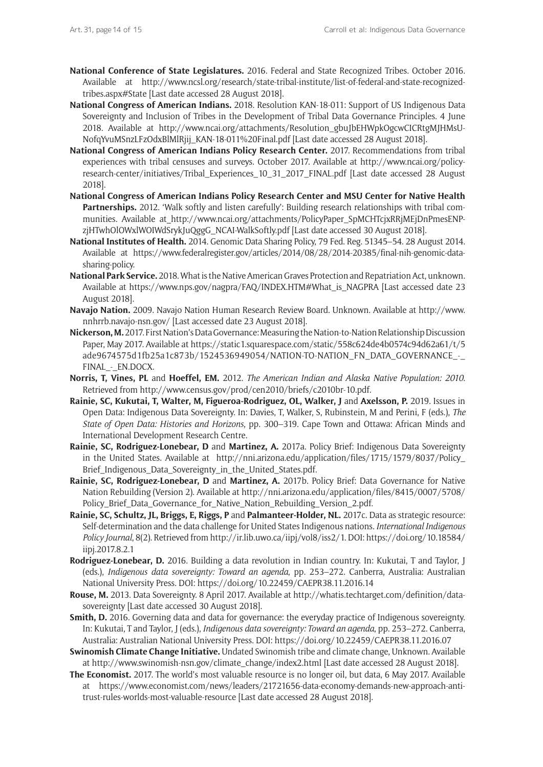- **National Conference of State Legislatures.** 2016. Federal and State Recognized Tribes. October 2016. Available at [http://www.ncsl.org/research/state-tribal-institute/list-of-federal-and-state-recognized](http://www.ncsl.org/research/state-tribal-institute/list-of-federal-and-state-recognized-tribes.aspx#State)[tribes.aspx#State](http://www.ncsl.org/research/state-tribal-institute/list-of-federal-and-state-recognized-tribes.aspx#State) [Last date accessed 28 August 2018].
- **National Congress of American Indians.** 2018. Resolution KAN-18-011: Support of US Indigenous Data Sovereignty and Inclusion of Tribes in the Development of Tribal Data Governance Principles. 4 June 2018. Available at [http://www.ncai.org/attachments/Resolution\\_gbuJbEHWpkOgcwCICRtgMJHMsU-](http://www.ncai.org/attachments/Resolution_gbuJbEHWpkOgcwCICRtgMJHMsUNofqYvuMSnzLFzOdxBlMlRjij_KAN-18-011%20Final.pdf)[NofqYvuMSnzLFzOdxBlMlRjij\\_KAN-18-011%20Final.pdf](http://www.ncai.org/attachments/Resolution_gbuJbEHWpkOgcwCICRtgMJHMsUNofqYvuMSnzLFzOdxBlMlRjij_KAN-18-011%20Final.pdf) [Last date accessed 28 August 2018].
- **National Congress of American Indians Policy Research Center.** 2017. Recommendations from tribal experiences with tribal censuses and surveys. October 2017. Available at [http://www.ncai.org/policy](http://www.ncai.org/policy-research-center/initiatives/Tribal_Experiences_10_31_2017_FINAL.pdf)[research-center/initiatives/Tribal\\_Experiences\\_10\\_31\\_2017\\_FINAL.pdf](http://www.ncai.org/policy-research-center/initiatives/Tribal_Experiences_10_31_2017_FINAL.pdf) [Last date accessed 28 August 2018].
- **National Congress of American Indians Policy Research Center and MSU Center for Native Health**  Partnerships. 2012. 'Walk softly and listen carefully': Building research relationships with tribal communities. Available at [http://www.ncai.org/attachments/PolicyPaper\\_SpMCHTcjxRRjMEjDnPmesENP](http://www.ncai.org/attachments/PolicyPaper_SpMCHTcjxRRjMEjDnPmesENPzjHTwhOlOWxlWOIWdSrykJuQggG_NCAI-WalkSoftly.pdf)[zjHTwhOlOWxlWOIWdSrykJuQggG\\_NCAI-WalkSoftly.pdf](http://www.ncai.org/attachments/PolicyPaper_SpMCHTcjxRRjMEjDnPmesENPzjHTwhOlOWxlWOIWdSrykJuQggG_NCAI-WalkSoftly.pdf) [Last date accessed 30 August 2018].
- **National Institutes of Health.** 2014. Genomic Data Sharing Policy, 79 Fed. Reg. 51345–54. 28 August 2014. Available at [https://www.federalregister.gov/articles/2014/08/28/2014-20385/final-nih-genomic-data](https://www.federalregister.gov/articles/2014/08/28/2014-20385/final-nih-genomic-data-sharing-policy)[sharing-policy.](https://www.federalregister.gov/articles/2014/08/28/2014-20385/final-nih-genomic-data-sharing-policy)
- **National Park Service.** 2018. What is the Native American Graves Protection and Repatriation Act, unknown. Available at [https://www.nps.gov/nagpra/FAQ/INDEX.HTM#What\\_is\\_NAGPRA](https://www.nps.gov/nagpra/FAQ/INDEX.HTM#What_is_NAGPRA) [Last accessed date 23 August 2018].
- **Navajo Nation.** 2009. Navajo Nation Human Research Review Board. Unknown. Available at [http://www.](http://www.nnhrrb.navajo-nsn.gov/) [nnhrrb.navajo-nsn.gov/](http://www.nnhrrb.navajo-nsn.gov/) [Last accessed date 23 August 2018].
- **Nickerson, M.** 2017. First Nation's Data Governance: Measuring the Nation-to-Nation Relationship Discussion Paper, May 2017. Available at [https://static1.squarespace.com/static/558c624de4b0574c94d62a61/t/5](https://static1.squarespace.com/static/558c624de4b0574c94d62a61/t/5ade9674575d1fb25a1c873b/1524536949054/NATION-TO-NATION_FN_DATA_GOVERNANCE_-_FINAL_-_EN.DOCX) [ade9674575d1fb25a1c873b/1524536949054/NATION-TO-NATION\\_FN\\_DATA\\_GOVERNANCE\\_-\\_](https://static1.squarespace.com/static/558c624de4b0574c94d62a61/t/5ade9674575d1fb25a1c873b/1524536949054/NATION-TO-NATION_FN_DATA_GOVERNANCE_-_FINAL_-_EN.DOCX) FINAL - EN.DOCX.
- **Norris, T, Vines, PL** and **Hoeffel, EM.** 2012. *The American Indian and Alaska Native Population: 2010*. Retrieved from<http://www.census.gov/prod/cen2010/briefs/c2010br-10.pdf>.
- **Rainie, SC, Kukutai, T, Walter, M, Figueroa-Rodriguez, OL, Walker, J** and **Axelsson, P.** 2019. Issues in Open Data: Indigenous Data Sovereignty. In: Davies, T, Walker, S, Rubinstein, M and Perini, F (eds.), *The State of Open Data: Histories and Horizons*, pp. 300–319. Cape Town and Ottawa: African Minds and International Development Research Centre.
- **Rainie, SC, Rodriguez-Lonebear, D** and **Martinez, A.** 2017a. Policy Brief: Indigenous Data Sovereignty in the United States. Available at [http://nni.arizona.edu/application/files/1715/1579/8037/Policy\\_](http://nni.arizona.edu/application/files/1715/1579/8037/Policy_Brief_Indigenous_Data_Sovereignty_in_the_United_States.pdf) [Brief\\_Indigenous\\_Data\\_Sovereignty\\_in\\_the\\_United\\_States.pdf.](http://nni.arizona.edu/application/files/1715/1579/8037/Policy_Brief_Indigenous_Data_Sovereignty_in_the_United_States.pdf)
- **Rainie, SC, Rodriguez-Lonebear, D** and **Martinez, A.** 2017b. Policy Brief: Data Governance for Native Nation Rebuilding (Version 2). Available at [http://nni.arizona.edu/application/files/8415/0007/5708/](http://nni.arizona.edu/application/files/8415/0007/5708/Policy_Brief_Data_Governance_for_Native_Nation_Rebuilding_Version_2.pdf) Policy Brief Data Governance for Native Nation Rebuilding Version 2.pdf.
- **Rainie, SC, Schultz, JL, Briggs, E, Riggs, P** and **Palmanteer-Holder, NL.** 2017c. Data as strategic resource: Self-determination and the data challenge for United States Indigenous nations. *International Indigenous Policy Journal*, 8(2). Retrieved from [http://ir.lib.uwo.ca/iipj/vol8/iss2/1.](http://ir.lib.uwo.ca/iipj/vol8/iss2/1) DOI: [https://doi.org/10.18584/](https://doi.org/10.18584/iipj.2017.8.2.1) [iipj.2017.8.2.1](https://doi.org/10.18584/iipj.2017.8.2.1)
- **Rodriguez-Lonebear, D.** 2016. Building a data revolution in Indian country. In: Kukutai, T and Taylor, J (eds.), *Indigenous data sovereignty: Toward an agenda*, pp. 253–272. Canberra, Australia: Australian National University Press. DOI: <https://doi.org/10.22459/CAEPR38.11.2016.14>
- **Rouse, M.** 2013. Data Sovereignty. 8 April 2017. Available at [http://whatis.techtarget.com/definition/data](http://whatis.techtarget.com/definition/data-sovereignty)[sovereignty](http://whatis.techtarget.com/definition/data-sovereignty) [Last date accessed 30 August 2018].
- **Smith, D.** 2016. Governing data and data for governance: the everyday practice of Indigenous sovereignty. In: Kukutai, T and Taylor, J (eds.), *Indigenous data sovereignty: Toward an agenda*, pp. 253–272. Canberra, Australia: Australian National University Press. DOI:<https://doi.org/10.22459/CAEPR38.11.2016.07>
- **Swinomish Climate Change Initiative.** Undated Swinomish tribe and climate change, Unknown. Available at [http://www.swinomish-nsn.gov/climate\\_change/index2.html](http://www.swinomish-nsn.gov/climate_change/index2.html) [Last date accessed 28 August 2018].
- **The Economist.** 2017. The world's most valuable resource is no longer oil, but data, 6 May 2017. Available at [https://www.economist.com/news/leaders/21721656-data-economy-demands-new-approach-anti](https://www.economist.com/news/leaders/21721656-data-economy-demands-new-approach-antitrust-rules-worlds-most-valuable-resource)[trust-rules-worlds-most-valuable-resource](https://www.economist.com/news/leaders/21721656-data-economy-demands-new-approach-antitrust-rules-worlds-most-valuable-resource) [Last date accessed 28 August 2018].